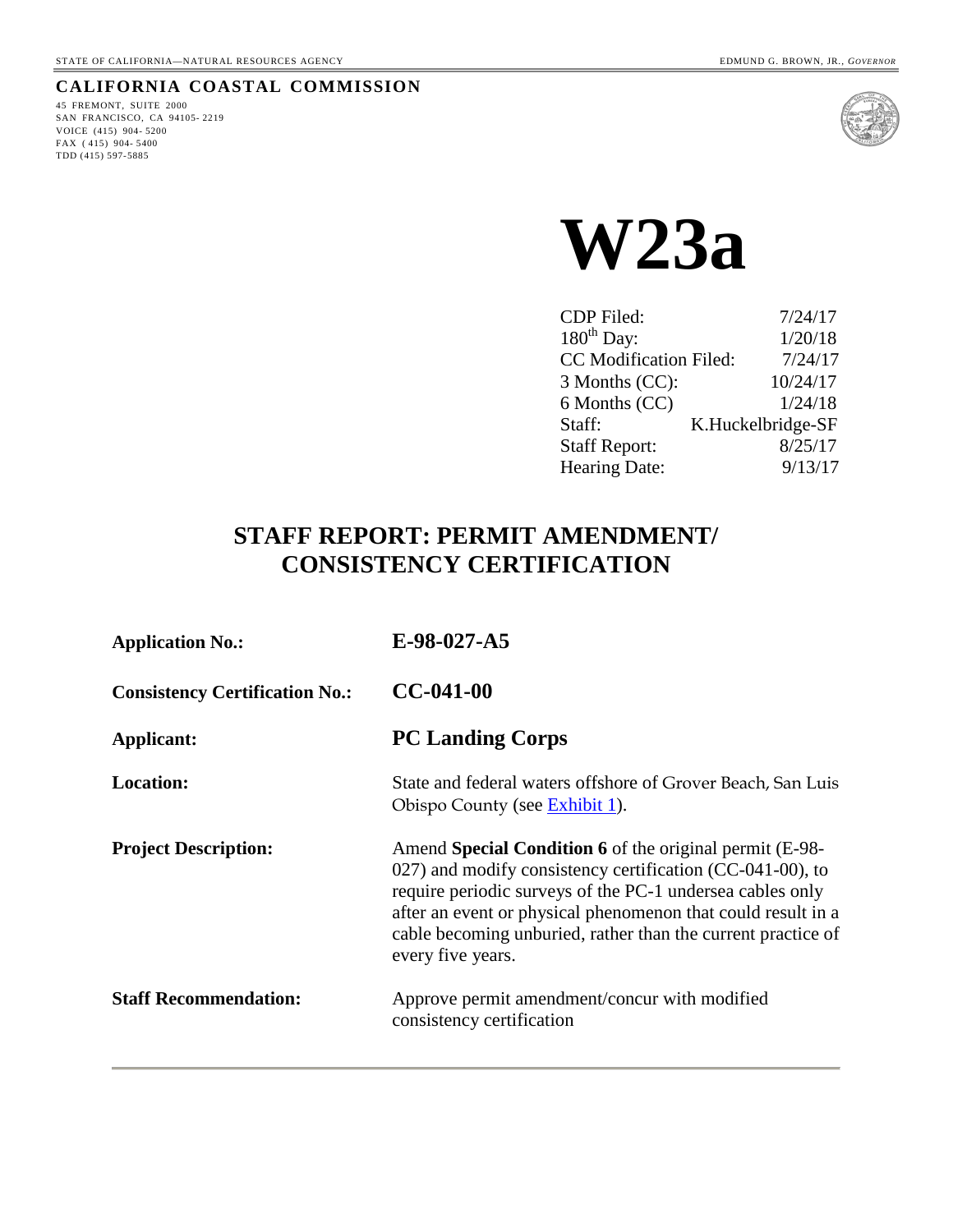#### **CALIFORNIA COASTAL COMMISSION**

45 FREMONT, SUITE 2000 SAN FRANCISCO, CA 94105- 2219 VOICE (415) 904- 5200 FAX ( 415) 904- 5400 TDD (415) 597-5885



**W23a** 

| <b>CDP</b> Filed:    | 7/24/17                           |
|----------------------|-----------------------------------|
| $180^{th}$ Day:      | 1/20/18                           |
|                      | CC Modification Filed:<br>7/24/17 |
| 3 Months (CC):       | 10/24/17                          |
| 6 Months (CC)        | 1/24/18                           |
| Staff:               | K.Huckelbridge-SF                 |
| <b>Staff Report:</b> | 8/25/17                           |
| Hearing Date:        | 9/13/17                           |

# **STAFF REPORT: PERMIT AMENDMENT/ CONSISTENCY CERTIFICATION**

| <b>Application No.:</b>               | $E-98-027-A5$                                                                                                                                                                                                                                                                                                                          |
|---------------------------------------|----------------------------------------------------------------------------------------------------------------------------------------------------------------------------------------------------------------------------------------------------------------------------------------------------------------------------------------|
| <b>Consistency Certification No.:</b> | $CC-041-00$                                                                                                                                                                                                                                                                                                                            |
| Applicant:                            | <b>PC Landing Corps</b>                                                                                                                                                                                                                                                                                                                |
| <b>Location:</b>                      | State and federal waters offshore of Grover Beach, San Luis<br>Obispo County (see Exhibit 1).                                                                                                                                                                                                                                          |
| <b>Project Description:</b>           | Amend Special Condition 6 of the original permit (E-98-<br>027) and modify consistency certification (CC-041-00), to<br>require periodic surveys of the PC-1 undersea cables only<br>after an event or physical phenomenon that could result in a<br>cable becoming unburied, rather than the current practice of<br>every five years. |
| <b>Staff Recommendation:</b>          | Approve permit amendment/concur with modified<br>consistency certification                                                                                                                                                                                                                                                             |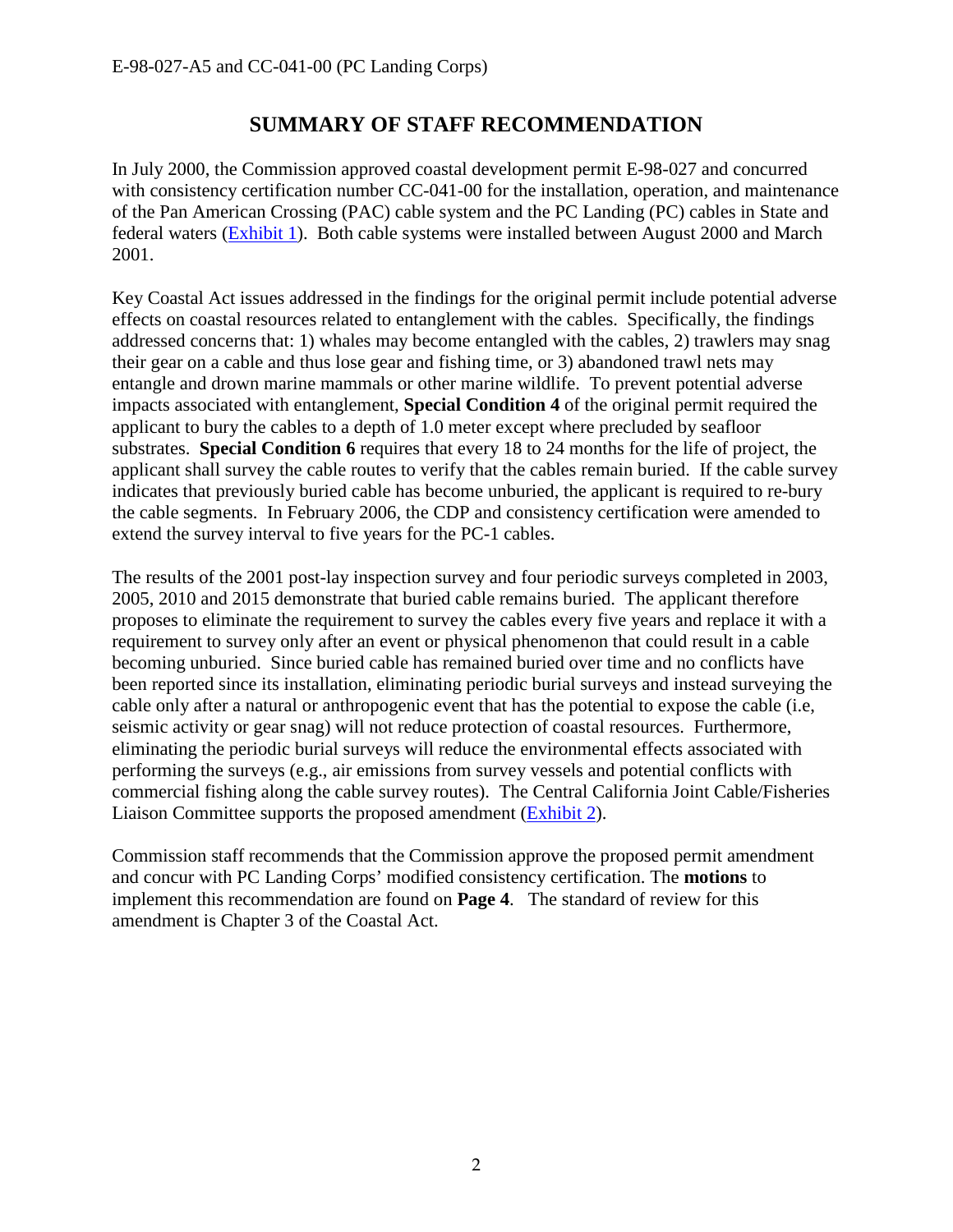# **SUMMARY OF STAFF RECOMMENDATION**

In July 2000, the Commission approved coastal development permit E-98-027 and concurred with consistency certification number CC-041-00 for the installation, operation, and maintenance of the Pan American Crossing (PAC) cable system and the PC Landing (PC) cables in State and federal waters [\(Exhibit 1\)](https://documents.coastal.ca.gov/reports/2017/9/w23a/w23a-9-2017-exhibits.pdf). Both cable systems were installed between August 2000 and March 2001.

Key Coastal Act issues addressed in the findings for the original permit include potential adverse effects on coastal resources related to entanglement with the cables. Specifically, the findings addressed concerns that: 1) whales may become entangled with the cables, 2) trawlers may snag their gear on a cable and thus lose gear and fishing time, or 3) abandoned trawl nets may entangle and drown marine mammals or other marine wildlife. To prevent potential adverse impacts associated with entanglement, **Special Condition 4** of the original permit required the applicant to bury the cables to a depth of 1.0 meter except where precluded by seafloor substrates. **Special Condition 6** requires that every 18 to 24 months for the life of project, the applicant shall survey the cable routes to verify that the cables remain buried. If the cable survey indicates that previously buried cable has become unburied, the applicant is required to re-bury the cable segments. In February 2006, the CDP and consistency certification were amended to extend the survey interval to five years for the PC-1 cables.

The results of the 2001 post-lay inspection survey and four periodic surveys completed in 2003, 2005, 2010 and 2015 demonstrate that buried cable remains buried. The applicant therefore proposes to eliminate the requirement to survey the cables every five years and replace it with a requirement to survey only after an event or physical phenomenon that could result in a cable becoming unburied. Since buried cable has remained buried over time and no conflicts have been reported since its installation, eliminating periodic burial surveys and instead surveying the cable only after a natural or anthropogenic event that has the potential to expose the cable (i.e, seismic activity or gear snag) will not reduce protection of coastal resources. Furthermore, eliminating the periodic burial surveys will reduce the environmental effects associated with performing the surveys (e.g., air emissions from survey vessels and potential conflicts with commercial fishing along the cable survey routes). The Central California Joint Cable/Fisheries Liaison Committee supports the proposed amendment [\(Exhibit 2\)](https://documents.coastal.ca.gov/reports/2017/9/w23a/w23a-9-2017-exhibits.pdf).

Commission staff recommends that the Commission approve the proposed permit amendment and concur with PC Landing Corps' modified consistency certification. The **motions** to implement this recommendation are found on **Page 4**. The standard of review for this amendment is Chapter 3 of the Coastal Act.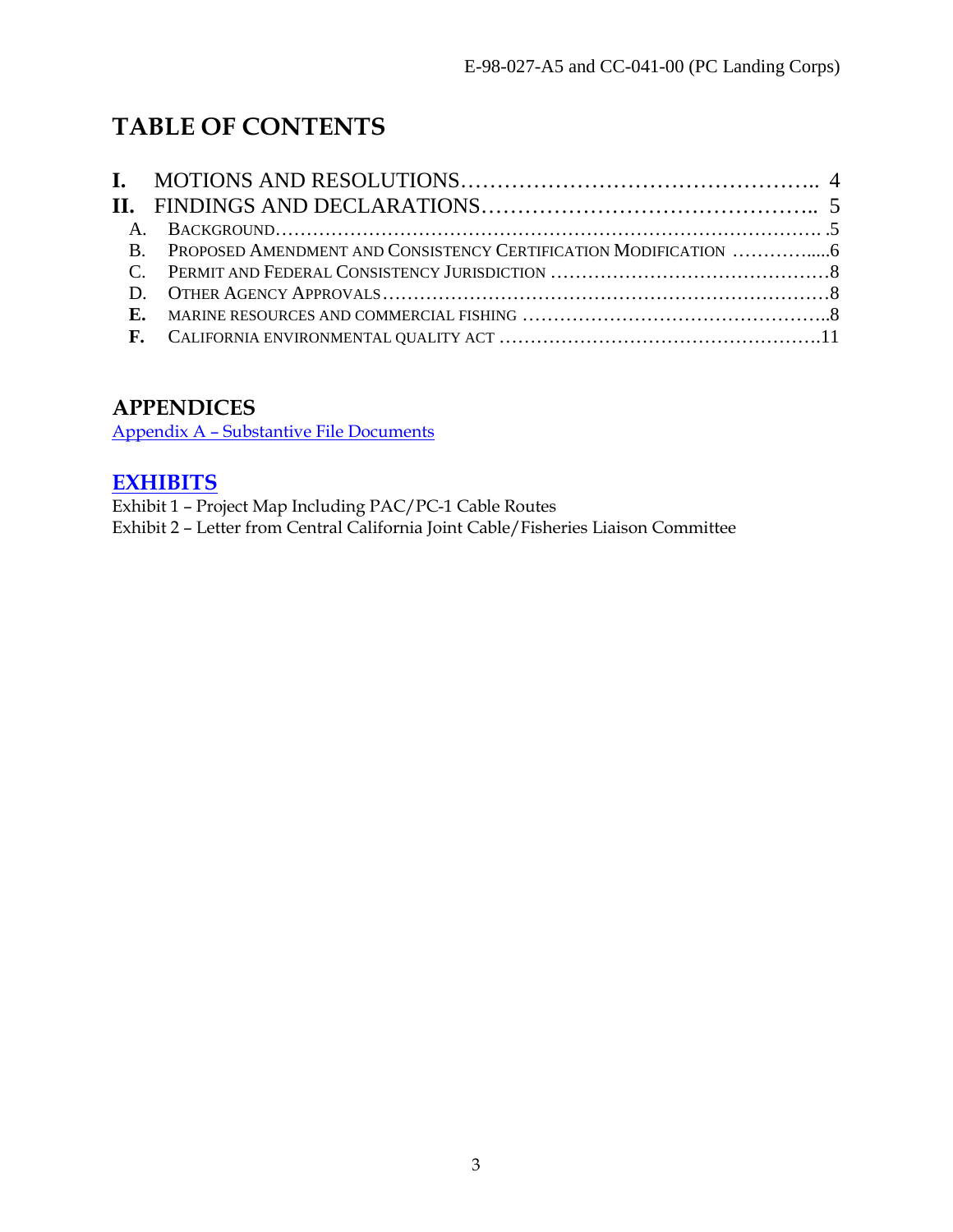# **TABLE OF CONTENTS**

# **APPENDICES**

[Appendix A – Substantive File Documents](#page-11-0)

# **[EXHIBITS](https://documents.coastal.ca.gov/reports/2017/9/w23a/w23a-9-2017-exhibits.pdf)**

Exhibit 1 – Project Map Including PAC/PC-1 Cable Routes Exhibit 2 – Letter from Central California Joint Cable/Fisheries Liaison Committee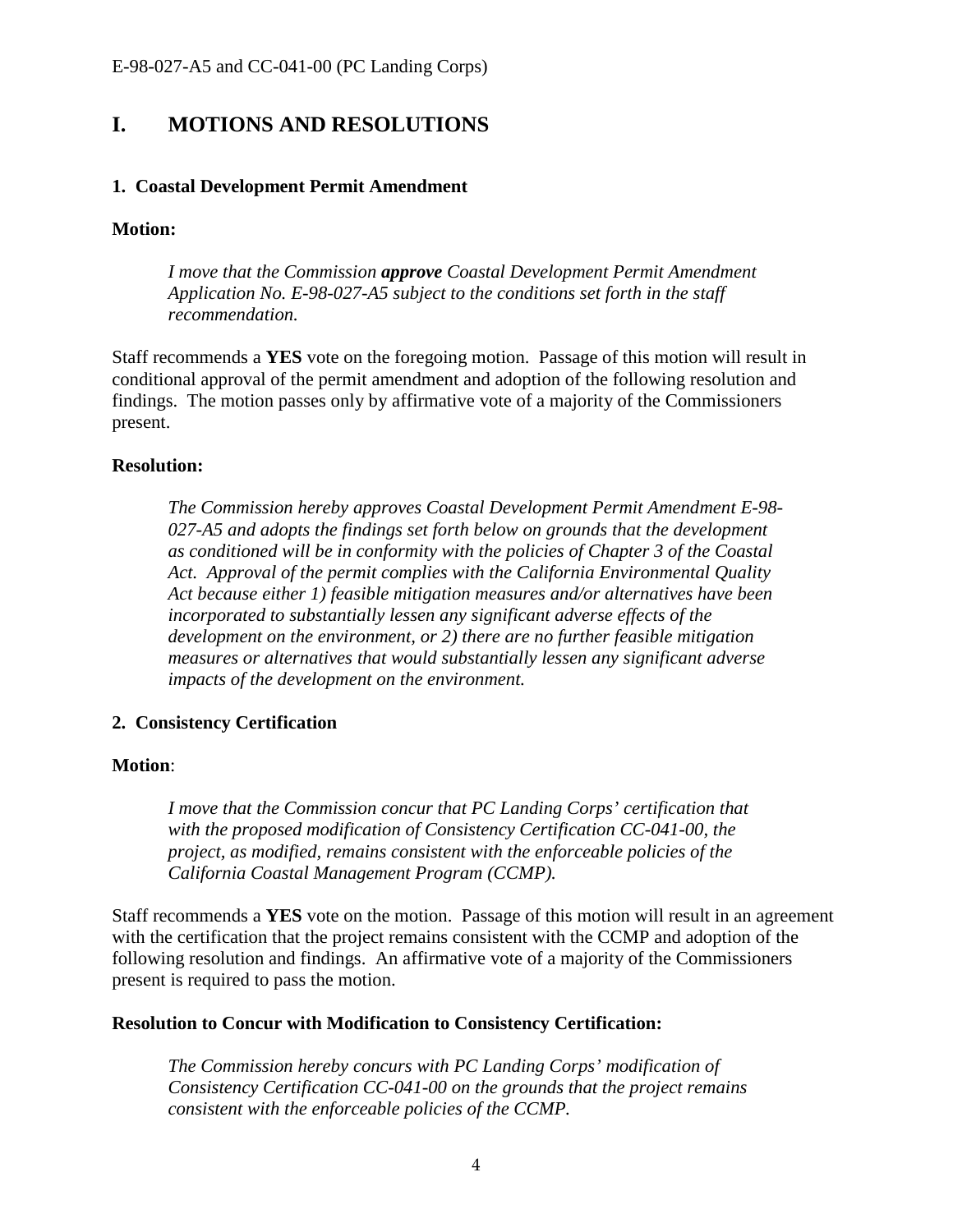# <span id="page-3-0"></span>**I. MOTIONS AND RESOLUTIONS**

#### **1. Coastal Development Permit Amendment**

#### **Motion:**

*I move that the Commission approve Coastal Development Permit Amendment Application No. E-98-027-A5 subject to the conditions set forth in the staff recommendation.* 

Staff recommends a **YES** vote on the foregoing motion. Passage of this motion will result in conditional approval of the permit amendment and adoption of the following resolution and findings. The motion passes only by affirmative vote of a majority of the Commissioners present.

#### **Resolution:**

*The Commission hereby approves Coastal Development Permit Amendment E-98- 027-A5 and adopts the findings set forth below on grounds that the development as conditioned will be in conformity with the policies of Chapter 3 of the Coastal Act. Approval of the permit complies with the California Environmental Quality Act because either 1) feasible mitigation measures and/or alternatives have been incorporated to substantially lessen any significant adverse effects of the development on the environment, or 2) there are no further feasible mitigation measures or alternatives that would substantially lessen any significant adverse impacts of the development on the environment.* 

### **2. Consistency Certification**

#### **Motion**:

*I move that the Commission concur that PC Landing Corps' certification that with the proposed modification of Consistency Certification CC-041-00, the project, as modified, remains consistent with the enforceable policies of the California Coastal Management Program (CCMP).* 

Staff recommends a **YES** vote on the motion. Passage of this motion will result in an agreement with the certification that the project remains consistent with the CCMP and adoption of the following resolution and findings. An affirmative vote of a majority of the Commissioners present is required to pass the motion.

#### **Resolution to Concur with Modification to Consistency Certification:**

*The Commission hereby concurs with PC Landing Corps' modification of Consistency Certification CC-041-00 on the grounds that the project remains consistent with the enforceable policies of the CCMP.*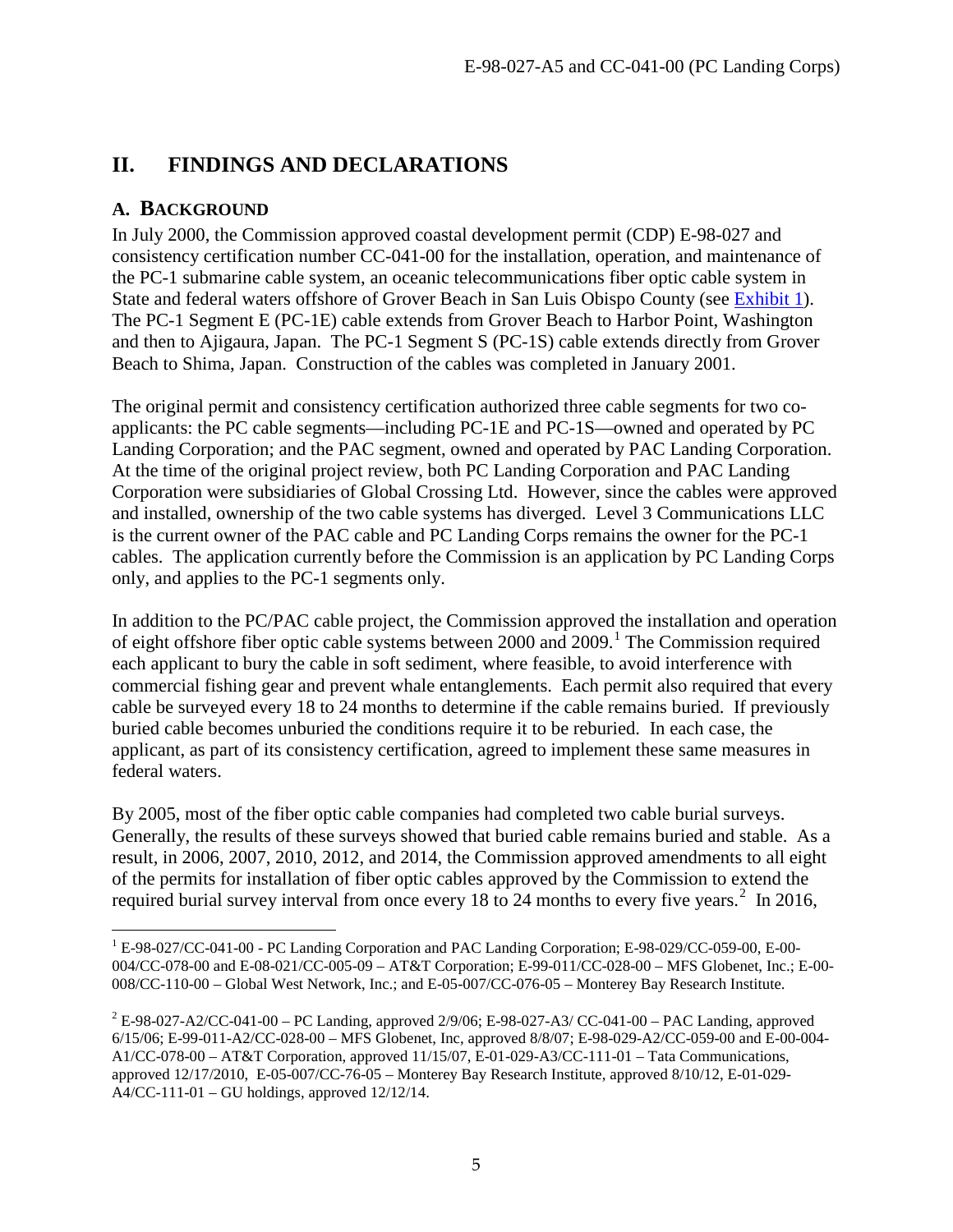# <span id="page-4-0"></span>**II. FINDINGS AND DECLARATIONS**

# <span id="page-4-1"></span>**A. BACKGROUND**

 $\overline{a}$ 

In July 2000, the Commission approved coastal development permit (CDP) E-98-027 and consistency certification number CC-041-00 for the installation, operation, and maintenance of the PC-1 submarine cable system, an oceanic telecommunications fiber optic cable system in State and federal waters offshore of Grover Beach in San Luis Obispo County (see [Exhibit 1\)](https://documents.coastal.ca.gov/reports/2017/9/w23a/w23a-9-2017-exhibits.pdf). The PC-1 Segment E (PC-1E) cable extends from Grover Beach to Harbor Point, Washington and then to Ajigaura, Japan. The PC-1 Segment S (PC-1S) cable extends directly from Grover Beach to Shima, Japan. Construction of the cables was completed in January 2001.

The original permit and consistency certification authorized three cable segments for two coapplicants: the PC cable segments—including PC-1E and PC-1S—owned and operated by PC Landing Corporation; and the PAC segment, owned and operated by PAC Landing Corporation. At the time of the original project review, both PC Landing Corporation and PAC Landing Corporation were subsidiaries of Global Crossing Ltd. However, since the cables were approved and installed, ownership of the two cable systems has diverged. Level 3 Communications LLC is the current owner of the PAC cable and PC Landing Corps remains the owner for the PC-1 cables. The application currently before the Commission is an application by PC Landing Corps only, and applies to the PC-1 segments only.

In addition to the PC/PAC cable project, the Commission approved the installation and operation of eight offshore fiber optic cable systems between 2000 and 2009.<sup>[1](#page-4-2)</sup> The Commission required each applicant to bury the cable in soft sediment, where feasible, to avoid interference with commercial fishing gear and prevent whale entanglements. Each permit also required that every cable be surveyed every 18 to 24 months to determine if the cable remains buried. If previously buried cable becomes unburied the conditions require it to be reburied. In each case, the applicant, as part of its consistency certification, agreed to implement these same measures in federal waters.

By 2005, most of the fiber optic cable companies had completed two cable burial surveys. Generally, the results of these surveys showed that buried cable remains buried and stable. As a result, in 2006, 2007, 2010, 2012, and 2014, the Commission approved amendments to all eight of the permits for installation of fiber optic cables approved by the Commission to extend the required burial survey interval from once every 18 to [2](#page-4-3)4 months to every five years.<sup>2</sup> In 2016,

<span id="page-4-2"></span><sup>&</sup>lt;sup>1</sup> E-98-027/CC-041-00 - PC Landing Corporation and PAC Landing Corporation; E-98-029/CC-059-00, E-00-004/CC-078-00 and E-08-021/CC-005-09 – AT&T Corporation; E-99-011/CC-028-00 – MFS Globenet, Inc.; E-00- 008/CC-110-00 – Global West Network, Inc.; and E-05-007/CC-076-05 – Monterey Bay Research Institute.

<span id="page-4-3"></span> $^{2}$  E-98-027-A2/CC-041-00 – PC Landing, approved 2/9/06; E-98-027-A3/ CC-041-00 – PAC Landing, approved 6/15/06; E-99-011-A2/CC-028-00 – MFS Globenet, Inc, approved 8/8/07; E-98-029-A2/CC-059-00 and E-00-004- A1/CC-078-00 – AT&T Corporation, approved 11/15/07, E-01-029-A3/CC-111-01 – Tata Communications, approved 12/17/2010, E-05-007/CC-76-05 – Monterey Bay Research Institute, approved 8/10/12, E-01-029- A4/CC-111-01 – GU holdings, approved 12/12/14.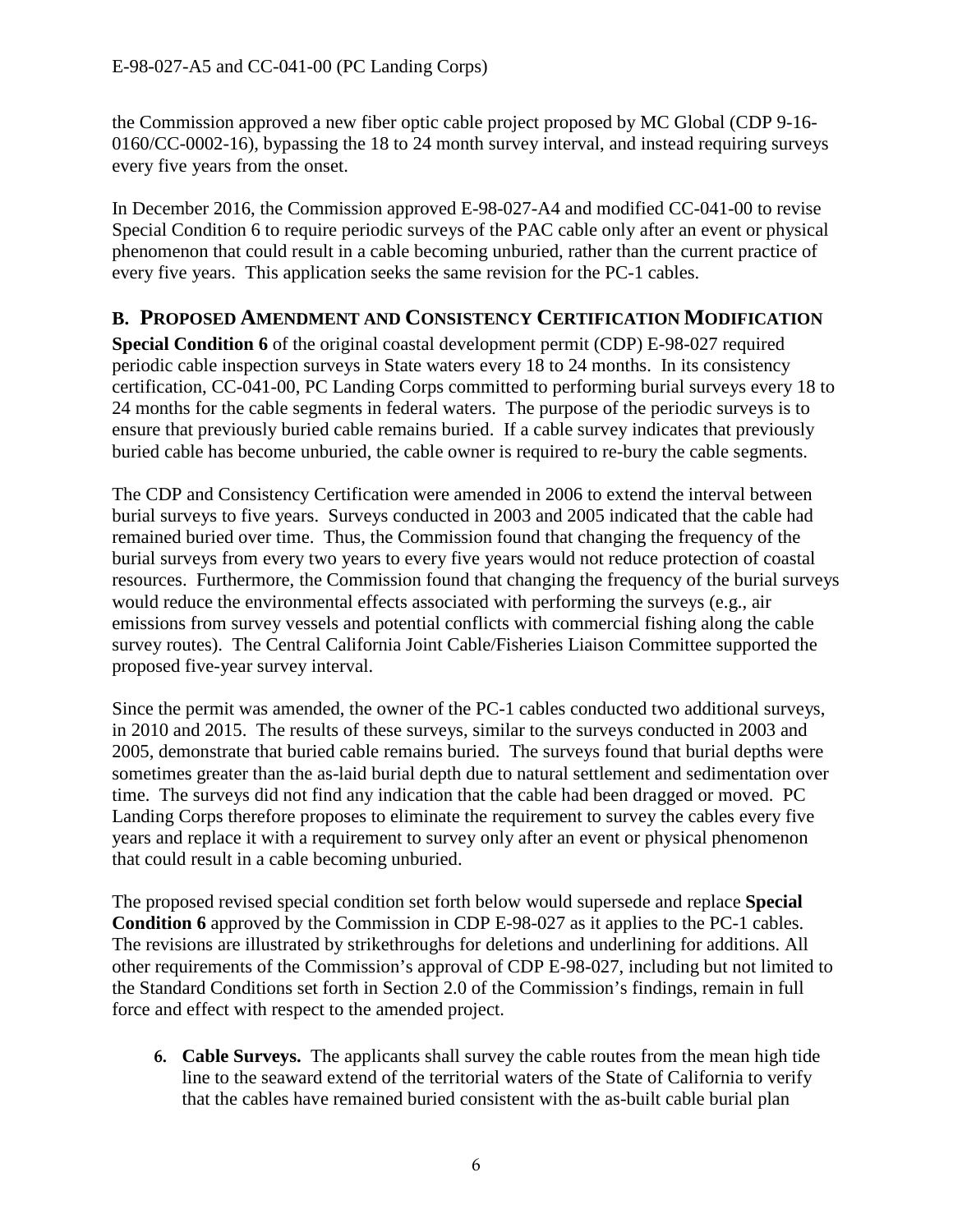the Commission approved a new fiber optic cable project proposed by MC Global (CDP 9-16- 0160/CC-0002-16), bypassing the 18 to 24 month survey interval, and instead requiring surveys every five years from the onset.

In December 2016, the Commission approved E-98-027-A4 and modified CC-041-00 to revise Special Condition 6 to require periodic surveys of the PAC cable only after an event or physical phenomenon that could result in a cable becoming unburied, rather than the current practice of every five years. This application seeks the same revision for the PC-1 cables.

# <span id="page-5-0"></span>**B. PROPOSED AMENDMENT AND CONSISTENCY CERTIFICATION MODIFICATION**

**Special Condition 6** of the original coastal development permit (CDP) E-98-027 required periodic cable inspection surveys in State waters every 18 to 24 months. In its consistency certification, CC-041-00, PC Landing Corps committed to performing burial surveys every 18 to 24 months for the cable segments in federal waters. The purpose of the periodic surveys is to ensure that previously buried cable remains buried. If a cable survey indicates that previously buried cable has become unburied, the cable owner is required to re-bury the cable segments.

The CDP and Consistency Certification were amended in 2006 to extend the interval between burial surveys to five years. Surveys conducted in 2003 and 2005 indicated that the cable had remained buried over time. Thus, the Commission found that changing the frequency of the burial surveys from every two years to every five years would not reduce protection of coastal resources. Furthermore, the Commission found that changing the frequency of the burial surveys would reduce the environmental effects associated with performing the surveys (e.g., air emissions from survey vessels and potential conflicts with commercial fishing along the cable survey routes). The Central California Joint Cable/Fisheries Liaison Committee supported the proposed five-year survey interval.

Since the permit was amended, the owner of the PC-1 cables conducted two additional surveys, in 2010 and 2015. The results of these surveys, similar to the surveys conducted in 2003 and 2005, demonstrate that buried cable remains buried. The surveys found that burial depths were sometimes greater than the as-laid burial depth due to natural settlement and sedimentation over time. The surveys did not find any indication that the cable had been dragged or moved. PC Landing Corps therefore proposes to eliminate the requirement to survey the cables every five years and replace it with a requirement to survey only after an event or physical phenomenon that could result in a cable becoming unburied.

The proposed revised special condition set forth below would supersede and replace **Special Condition 6** approved by the Commission in CDP E-98-027 as it applies to the PC-1 cables. The revisions are illustrated by strikethroughs for deletions and underlining for additions. All other requirements of the Commission's approval of CDP E-98-027, including but not limited to the Standard Conditions set forth in Section 2.0 of the Commission's findings, remain in full force and effect with respect to the amended project.

**6. Cable Surveys.** The applicants shall survey the cable routes from the mean high tide line to the seaward extend of the territorial waters of the State of California to verify that the cables have remained buried consistent with the as-built cable burial plan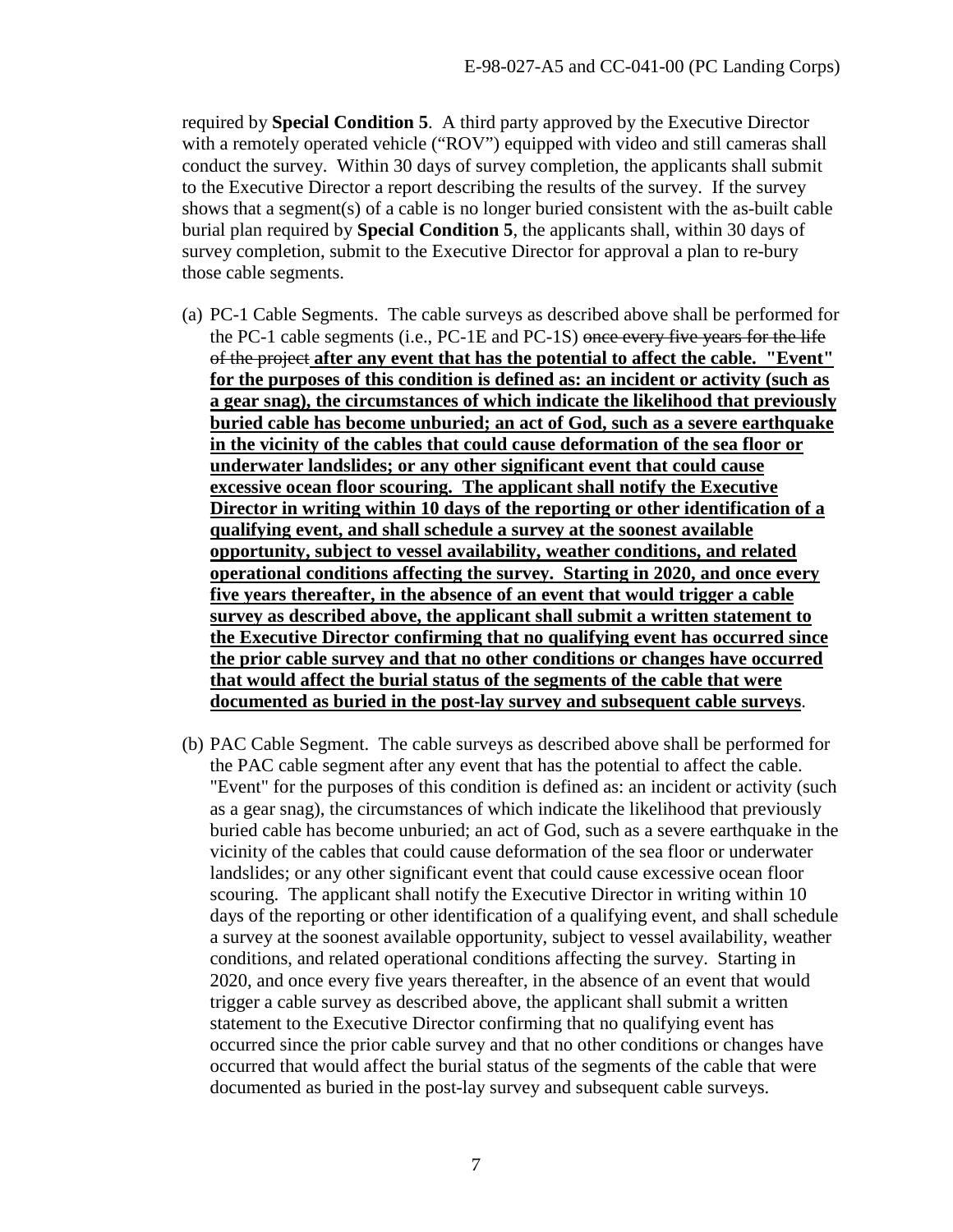required by **Special Condition 5**. A third party approved by the Executive Director with a remotely operated vehicle ("ROV") equipped with video and still cameras shall conduct the survey. Within 30 days of survey completion, the applicants shall submit to the Executive Director a report describing the results of the survey. If the survey shows that a segment(s) of a cable is no longer buried consistent with the as-built cable burial plan required by **Special Condition 5**, the applicants shall, within 30 days of survey completion, submit to the Executive Director for approval a plan to re-bury those cable segments.

- (a) PC-1 Cable Segments. The cable surveys as described above shall be performed for the PC-1 cable segments (i.e., PC-1E and PC-1S) once every five years for the life of the project **after any event that has the potential to affect the cable. "Event" for the purposes of this condition is defined as: an incident or activity (such as a gear snag), the circumstances of which indicate the likelihood that previously buried cable has become unburied; an act of God, such as a severe earthquake in the vicinity of the cables that could cause deformation of the sea floor or underwater landslides; or any other significant event that could cause excessive ocean floor scouring. The applicant shall notify the Executive Director in writing within 10 days of the reporting or other identification of a qualifying event, and shall schedule a survey at the soonest available opportunity, subject to vessel availability, weather conditions, and related operational conditions affecting the survey. Starting in 2020, and once every five years thereafter, in the absence of an event that would trigger a cable survey as described above, the applicant shall submit a written statement to the Executive Director confirming that no qualifying event has occurred since the prior cable survey and that no other conditions or changes have occurred that would affect the burial status of the segments of the cable that were documented as buried in the post-lay survey and subsequent cable surveys**.
- (b) PAC Cable Segment. The cable surveys as described above shall be performed for the PAC cable segment after any event that has the potential to affect the cable. "Event" for the purposes of this condition is defined as: an incident or activity (such as a gear snag), the circumstances of which indicate the likelihood that previously buried cable has become unburied; an act of God, such as a severe earthquake in the vicinity of the cables that could cause deformation of the sea floor or underwater landslides; or any other significant event that could cause excessive ocean floor scouring. The applicant shall notify the Executive Director in writing within 10 days of the reporting or other identification of a qualifying event, and shall schedule a survey at the soonest available opportunity, subject to vessel availability, weather conditions, and related operational conditions affecting the survey. Starting in 2020, and once every five years thereafter, in the absence of an event that would trigger a cable survey as described above, the applicant shall submit a written statement to the Executive Director confirming that no qualifying event has occurred since the prior cable survey and that no other conditions or changes have occurred that would affect the burial status of the segments of the cable that were documented as buried in the post-lay survey and subsequent cable surveys.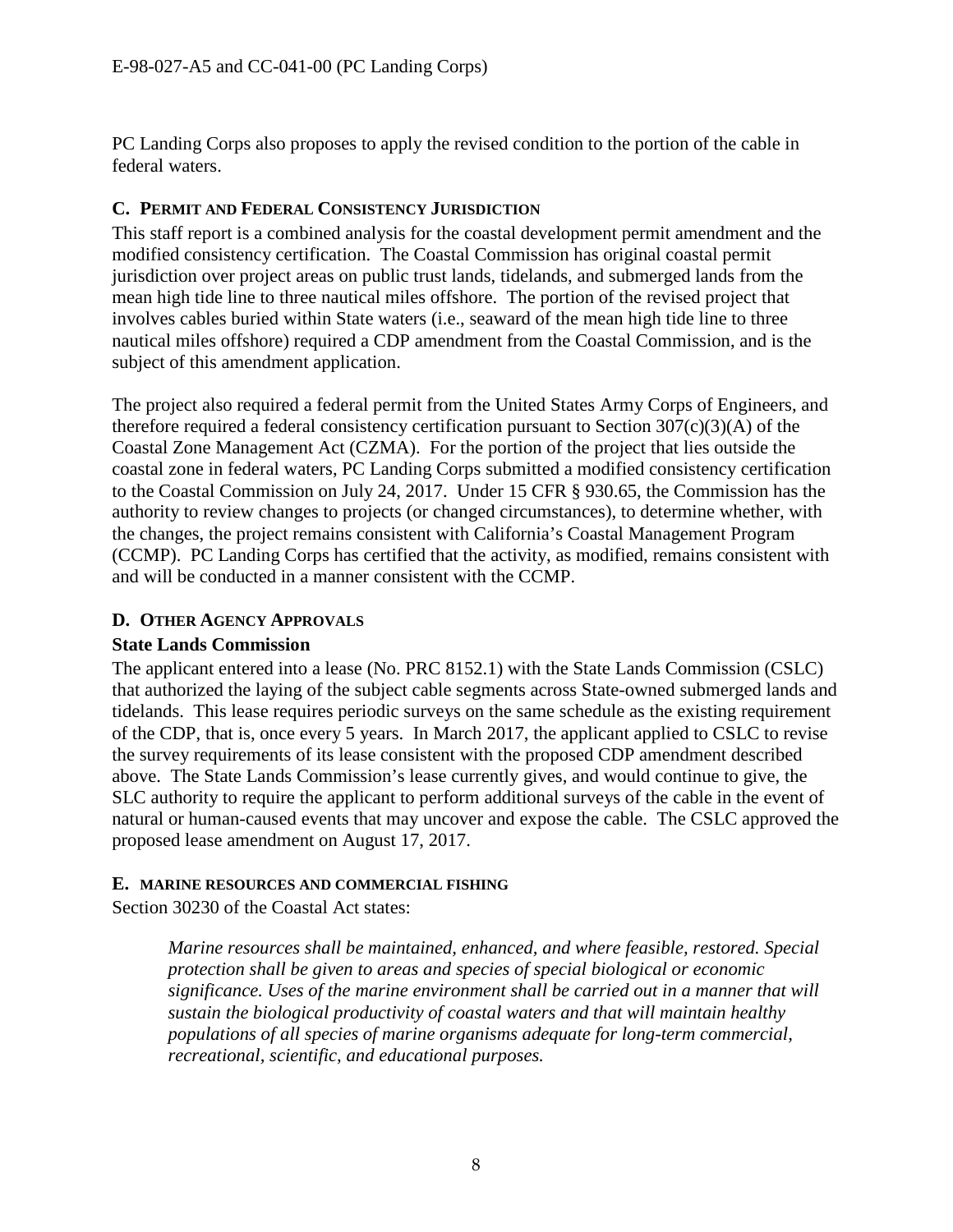PC Landing Corps also proposes to apply the revised condition to the portion of the cable in federal waters.

### <span id="page-7-0"></span>**C. PERMIT AND FEDERAL CONSISTENCY JURISDICTION**

This staff report is a combined analysis for the coastal development permit amendment and the modified consistency certification. The Coastal Commission has original coastal permit jurisdiction over project areas on public trust lands, tidelands, and submerged lands from the mean high tide line to three nautical miles offshore. The portion of the revised project that involves cables buried within State waters (i.e., seaward of the mean high tide line to three nautical miles offshore) required a CDP amendment from the Coastal Commission, and is the subject of this amendment application.

The project also required a federal permit from the United States Army Corps of Engineers, and therefore required a federal consistency certification pursuant to Section 307(c)(3)(A) of the Coastal Zone Management Act (CZMA). For the portion of the project that lies outside the coastal zone in federal waters, PC Landing Corps submitted a modified consistency certification to the Coastal Commission on July 24, 2017. Under 15 CFR § 930.65, the Commission has the authority to review changes to projects (or changed circumstances), to determine whether, with the changes, the project remains consistent with California's Coastal Management Program (CCMP). PC Landing Corps has certified that the activity, as modified, remains consistent with and will be conducted in a manner consistent with the CCMP.

### <span id="page-7-1"></span>**D. OTHER AGENCY APPROVALS**

### **State Lands Commission**

The applicant entered into a lease (No. PRC 8152.1) with the State Lands Commission (CSLC) that authorized the laying of the subject cable segments across State-owned submerged lands and tidelands. This lease requires periodic surveys on the same schedule as the existing requirement of the CDP, that is, once every 5 years. In March 2017, the applicant applied to CSLC to revise the survey requirements of its lease consistent with the proposed CDP amendment described above. The State Lands Commission's lease currently gives, and would continue to give, the SLC authority to require the applicant to perform additional surveys of the cable in the event of natural or human-caused events that may uncover and expose the cable. The CSLC approved the proposed lease amendment on August 17, 2017.

### <span id="page-7-2"></span>**E. MARINE RESOURCES AND COMMERCIAL FISHING**

Section 30230 of the Coastal Act states:

*Marine resources shall be maintained, enhanced, and where feasible, restored. Special protection shall be given to areas and species of special biological or economic significance. Uses of the marine environment shall be carried out in a manner that will sustain the biological productivity of coastal waters and that will maintain healthy populations of all species of marine organisms adequate for long-term commercial, recreational, scientific, and educational purposes.*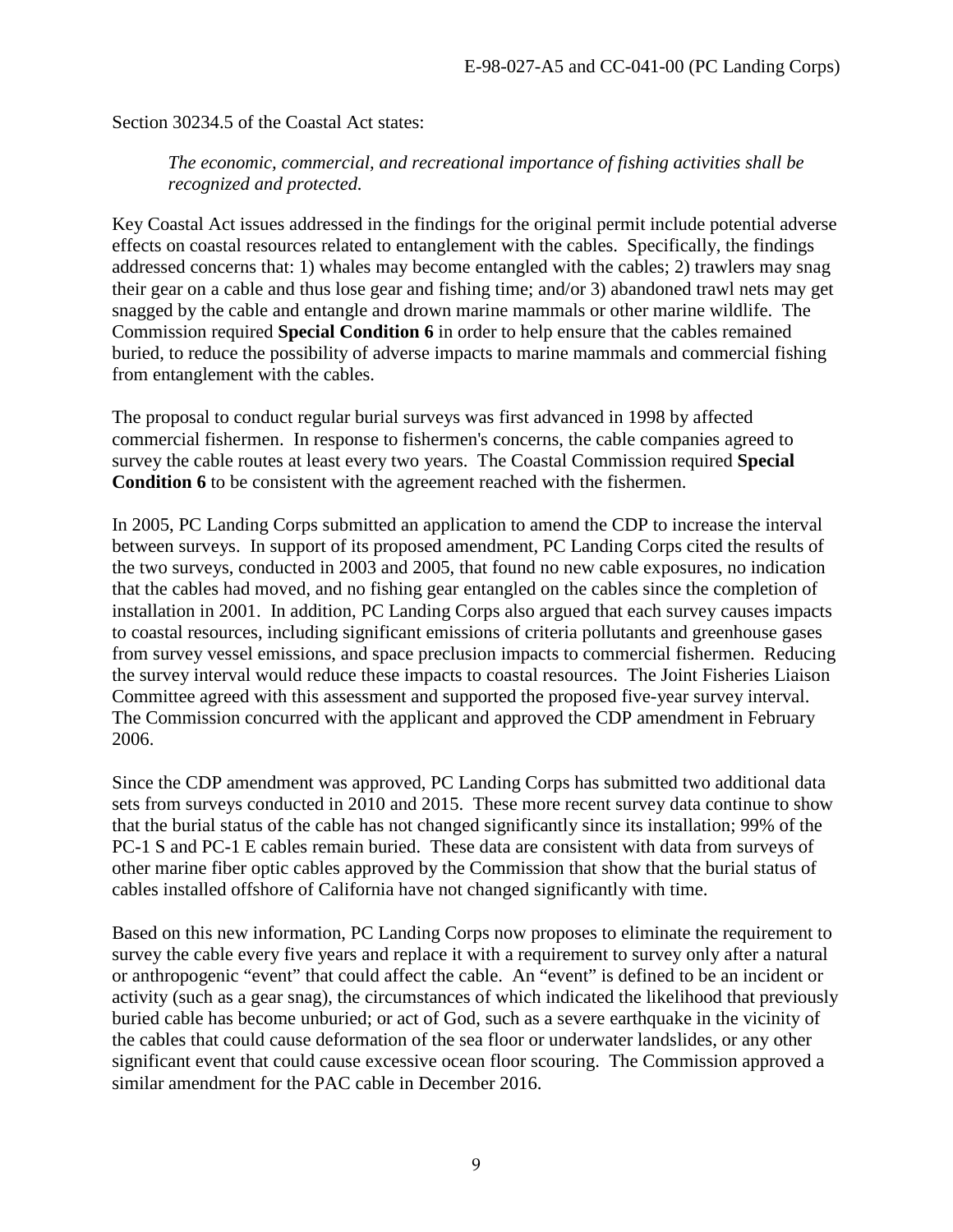Section 30234.5 of the Coastal Act states:

*The economic, commercial, and recreational importance of fishing activities shall be recognized and protected.* 

Key Coastal Act issues addressed in the findings for the original permit include potential adverse effects on coastal resources related to entanglement with the cables. Specifically, the findings addressed concerns that: 1) whales may become entangled with the cables; 2) trawlers may snag their gear on a cable and thus lose gear and fishing time; and/or 3) abandoned trawl nets may get snagged by the cable and entangle and drown marine mammals or other marine wildlife. The Commission required **Special Condition 6** in order to help ensure that the cables remained buried, to reduce the possibility of adverse impacts to marine mammals and commercial fishing from entanglement with the cables.

The proposal to conduct regular burial surveys was first advanced in 1998 by affected commercial fishermen. In response to fishermen's concerns, the cable companies agreed to survey the cable routes at least every two years. The Coastal Commission required **Special Condition 6** to be consistent with the agreement reached with the fishermen.

In 2005, PC Landing Corps submitted an application to amend the CDP to increase the interval between surveys. In support of its proposed amendment, PC Landing Corps cited the results of the two surveys, conducted in 2003 and 2005, that found no new cable exposures, no indication that the cables had moved, and no fishing gear entangled on the cables since the completion of installation in 2001. In addition, PC Landing Corps also argued that each survey causes impacts to coastal resources, including significant emissions of criteria pollutants and greenhouse gases from survey vessel emissions, and space preclusion impacts to commercial fishermen. Reducing the survey interval would reduce these impacts to coastal resources. The Joint Fisheries Liaison Committee agreed with this assessment and supported the proposed five-year survey interval. The Commission concurred with the applicant and approved the CDP amendment in February 2006.

Since the CDP amendment was approved, PC Landing Corps has submitted two additional data sets from surveys conducted in 2010 and 2015. These more recent survey data continue to show that the burial status of the cable has not changed significantly since its installation; 99% of the PC-1 S and PC-1 E cables remain buried. These data are consistent with data from surveys of other marine fiber optic cables approved by the Commission that show that the burial status of cables installed offshore of California have not changed significantly with time.

Based on this new information, PC Landing Corps now proposes to eliminate the requirement to survey the cable every five years and replace it with a requirement to survey only after a natural or anthropogenic "event" that could affect the cable. An "event" is defined to be an incident or activity (such as a gear snag), the circumstances of which indicated the likelihood that previously buried cable has become unburied; or act of God, such as a severe earthquake in the vicinity of the cables that could cause deformation of the sea floor or underwater landslides, or any other significant event that could cause excessive ocean floor scouring. The Commission approved a similar amendment for the PAC cable in December 2016.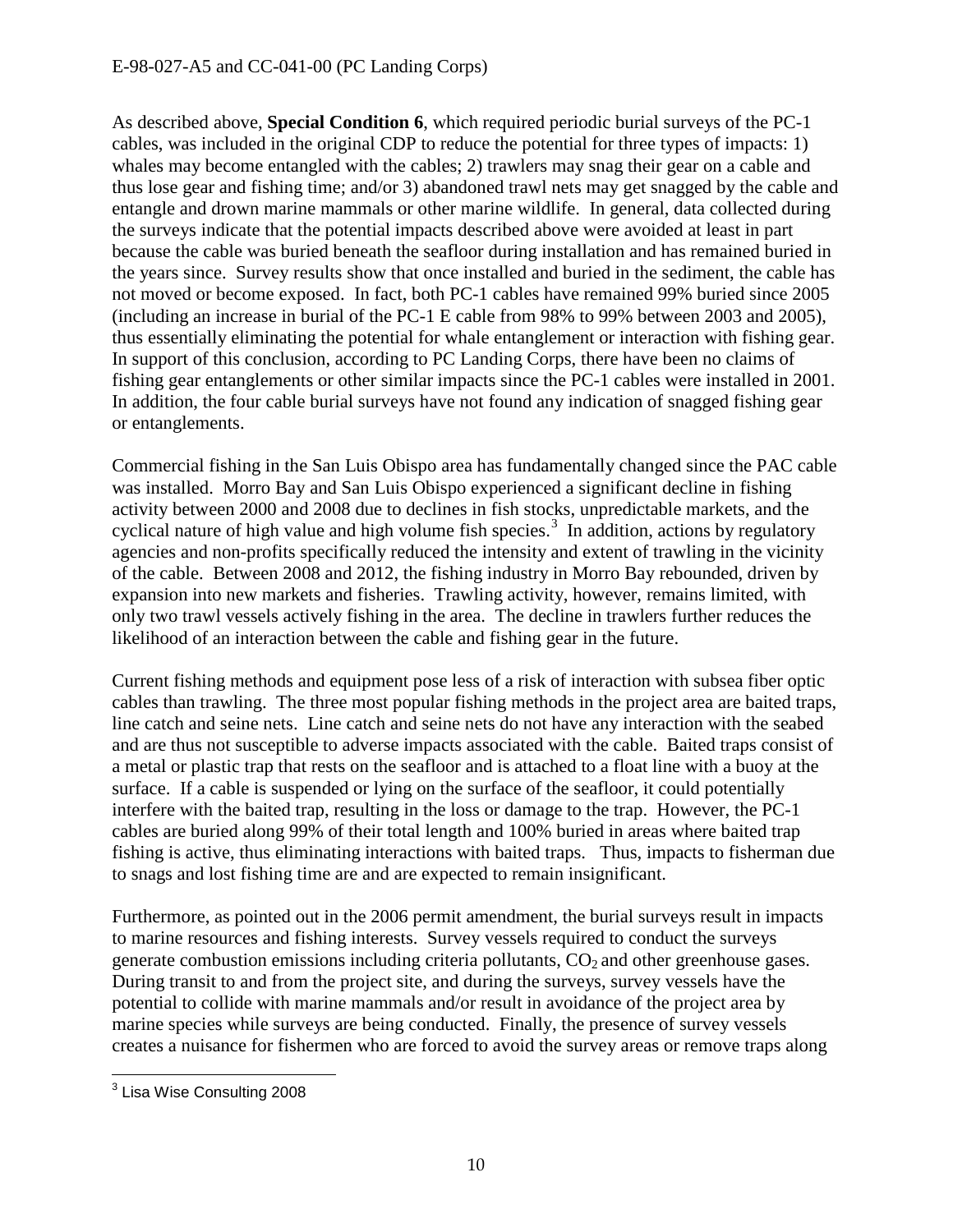As described above, **Special Condition 6**, which required periodic burial surveys of the PC-1 cables, was included in the original CDP to reduce the potential for three types of impacts: 1) whales may become entangled with the cables; 2) trawlers may snag their gear on a cable and thus lose gear and fishing time; and/or 3) abandoned trawl nets may get snagged by the cable and entangle and drown marine mammals or other marine wildlife. In general, data collected during the surveys indicate that the potential impacts described above were avoided at least in part because the cable was buried beneath the seafloor during installation and has remained buried in the years since. Survey results show that once installed and buried in the sediment, the cable has not moved or become exposed. In fact, both PC-1 cables have remained 99% buried since 2005 (including an increase in burial of the PC-1 E cable from 98% to 99% between 2003 and 2005), thus essentially eliminating the potential for whale entanglement or interaction with fishing gear. In support of this conclusion, according to PC Landing Corps, there have been no claims of fishing gear entanglements or other similar impacts since the PC-1 cables were installed in 2001. In addition, the four cable burial surveys have not found any indication of snagged fishing gear or entanglements.

Commercial fishing in the San Luis Obispo area has fundamentally changed since the PAC cable was installed. Morro Bay and San Luis Obispo experienced a significant decline in fishing activity between 2000 and 2008 due to declines in fish stocks, unpredictable markets, and the cyclical nature of high value and high volume fish species.<sup>[3](#page-9-0)</sup> In addition, actions by regulatory agencies and non-profits specifically reduced the intensity and extent of trawling in the vicinity of the cable. Between 2008 and 2012, the fishing industry in Morro Bay rebounded, driven by expansion into new markets and fisheries. Trawling activity, however, remains limited, with only two trawl vessels actively fishing in the area. The decline in trawlers further reduces the likelihood of an interaction between the cable and fishing gear in the future.

Current fishing methods and equipment pose less of a risk of interaction with subsea fiber optic cables than trawling. The three most popular fishing methods in the project area are baited traps, line catch and seine nets. Line catch and seine nets do not have any interaction with the seabed and are thus not susceptible to adverse impacts associated with the cable. Baited traps consist of a metal or plastic trap that rests on the seafloor and is attached to a float line with a buoy at the surface. If a cable is suspended or lying on the surface of the seafloor, it could potentially interfere with the baited trap, resulting in the loss or damage to the trap. However, the PC-1 cables are buried along 99% of their total length and 100% buried in areas where baited trap fishing is active, thus eliminating interactions with baited traps. Thus, impacts to fisherman due to snags and lost fishing time are and are expected to remain insignificant.

Furthermore, as pointed out in the 2006 permit amendment, the burial surveys result in impacts to marine resources and fishing interests. Survey vessels required to conduct the surveys generate combustion emissions including criteria pollutants,  $CO<sub>2</sub>$  and other greenhouse gases. During transit to and from the project site, and during the surveys, survey vessels have the potential to collide with marine mammals and/or result in avoidance of the project area by marine species while surveys are being conducted. Finally, the presence of survey vessels creates a nuisance for fishermen who are forced to avoid the survey areas or remove traps along

<span id="page-9-0"></span> $\overline{a}$  $^{\rm 3}$  Lisa Wise Consulting 2008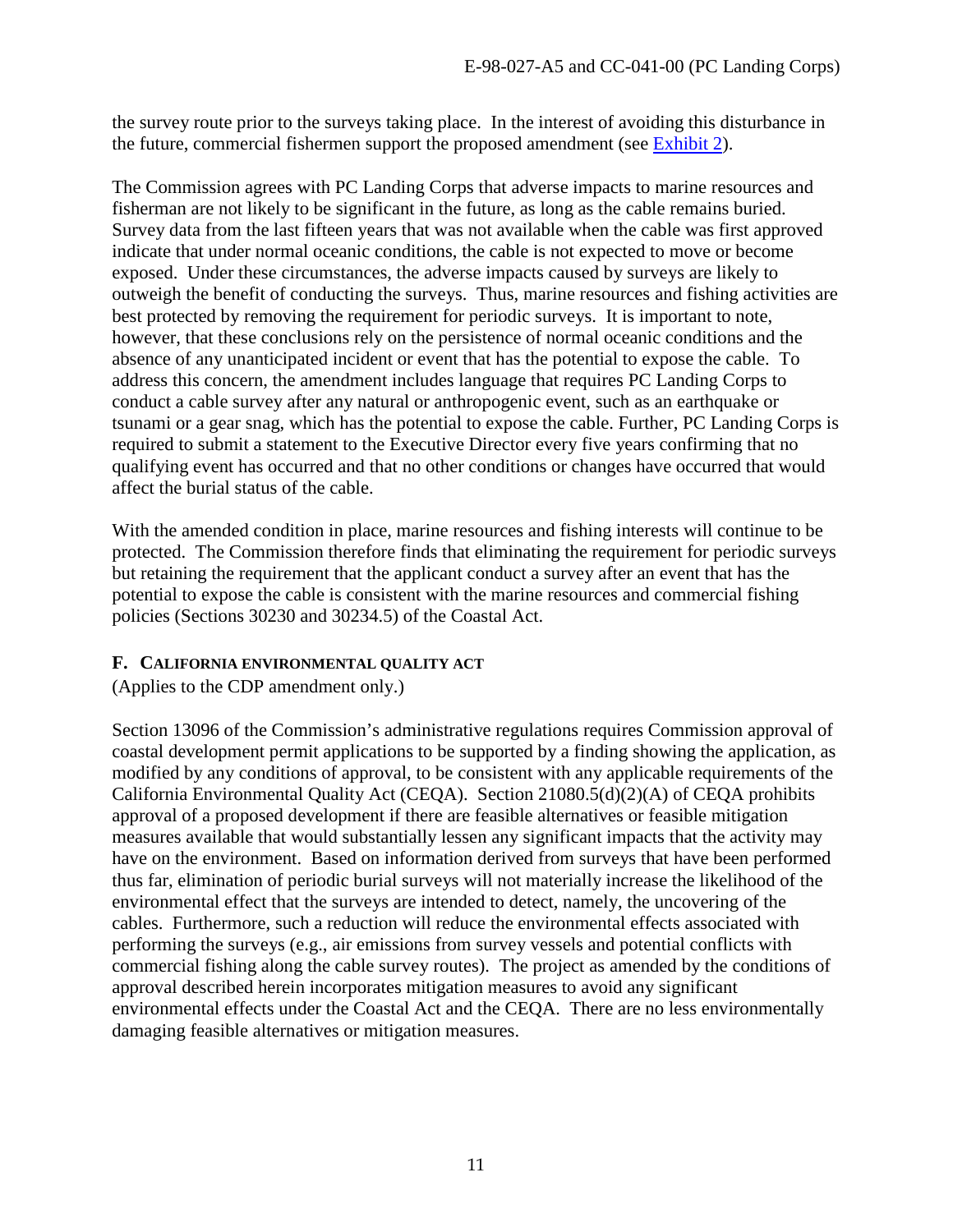the survey route prior to the surveys taking place. In the interest of avoiding this disturbance in the future, commercial fishermen support the proposed amendment (see [Exhibit 2\)](https://documents.coastal.ca.gov/reports/2017/9/w23a/w23a-9-2017-exhibits.pdf).

The Commission agrees with PC Landing Corps that adverse impacts to marine resources and fisherman are not likely to be significant in the future, as long as the cable remains buried. Survey data from the last fifteen years that was not available when the cable was first approved indicate that under normal oceanic conditions, the cable is not expected to move or become exposed. Under these circumstances, the adverse impacts caused by surveys are likely to outweigh the benefit of conducting the surveys. Thus, marine resources and fishing activities are best protected by removing the requirement for periodic surveys. It is important to note, however, that these conclusions rely on the persistence of normal oceanic conditions and the absence of any unanticipated incident or event that has the potential to expose the cable. To address this concern, the amendment includes language that requires PC Landing Corps to conduct a cable survey after any natural or anthropogenic event, such as an earthquake or tsunami or a gear snag, which has the potential to expose the cable. Further, PC Landing Corps is required to submit a statement to the Executive Director every five years confirming that no qualifying event has occurred and that no other conditions or changes have occurred that would affect the burial status of the cable.

With the amended condition in place, marine resources and fishing interests will continue to be protected. The Commission therefore finds that eliminating the requirement for periodic surveys but retaining the requirement that the applicant conduct a survey after an event that has the potential to expose the cable is consistent with the marine resources and commercial fishing policies (Sections 30230 and 30234.5) of the Coastal Act.

# <span id="page-10-0"></span>**F. CALIFORNIA ENVIRONMENTAL QUALITY ACT**

(Applies to the CDP amendment only.)

Section 13096 of the Commission's administrative regulations requires Commission approval of coastal development permit applications to be supported by a finding showing the application, as modified by any conditions of approval, to be consistent with any applicable requirements of the California Environmental Quality Act (CEQA). Section 21080.5(d)(2)(A) of CEQA prohibits approval of a proposed development if there are feasible alternatives or feasible mitigation measures available that would substantially lessen any significant impacts that the activity may have on the environment. Based on information derived from surveys that have been performed thus far, elimination of periodic burial surveys will not materially increase the likelihood of the environmental effect that the surveys are intended to detect, namely, the uncovering of the cables. Furthermore, such a reduction will reduce the environmental effects associated with performing the surveys (e.g., air emissions from survey vessels and potential conflicts with commercial fishing along the cable survey routes). The project as amended by the conditions of approval described herein incorporates mitigation measures to avoid any significant environmental effects under the Coastal Act and the CEQA. There are no less environmentally damaging feasible alternatives or mitigation measures.